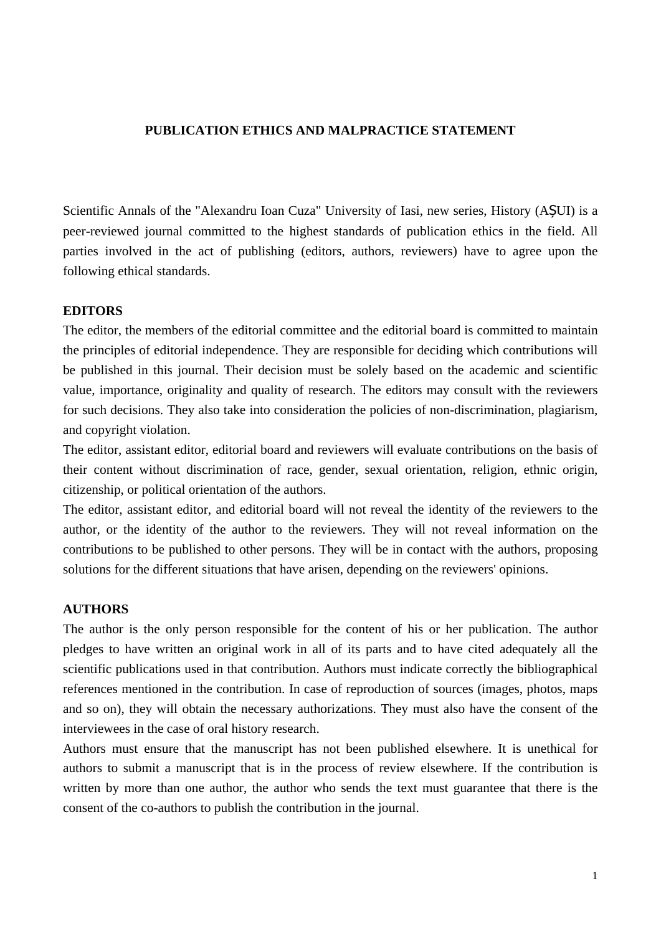## **PUBLICATION ETHICS AND MALPRACTICE STATEMENT**

Scientific Annals of the "Alexandru Ioan Cuza" University of Iasi, new series, History (AȘUI) is a peer-reviewed journal committed to the highest standards of publication ethics in the field. All parties involved in the act of publishing (editors, authors, reviewers) have to agree upon the following ethical standards.

## **EDITORS**

The editor, the members of the editorial committee and the editorial board is committed to maintain the principles of editorial independence. They are responsible for deciding which contributions will be published in this journal. Their decision must be solely based on the academic and scientific value, importance, originality and quality of research. The editors may consult with the reviewers for such decisions. They also take into consideration the policies of non-discrimination, plagiarism, and copyright violation.

The editor, assistant editor, editorial board and reviewers will evaluate contributions on the basis of their content without discrimination of race, gender, sexual orientation, religion, ethnic origin, citizenship, or political orientation of the authors.

The editor, assistant editor, and editorial board will not reveal the identity of the reviewers to the author, or the identity of the author to the reviewers. They will not reveal information on the contributions to be published to other persons. They will be in contact with the authors, proposing solutions for the different situations that have arisen, depending on the reviewers' opinions.

## **AUTHORS**

The author is the only person responsible for the content of his or her publication. The author pledges to have written an original work in all of its parts and to have cited adequately all the scientific publications used in that contribution. Authors must indicate correctly the bibliographical references mentioned in the contribution. In case of reproduction of sources (images, photos, maps and so on), they will obtain the necessary authorizations. They must also have the consent of the interviewees in the case of oral history research.

Authors must ensure that the manuscript has not been published elsewhere. It is unethical for authors to submit a manuscript that is in the process of review elsewhere. If the contribution is written by more than one author, the author who sends the text must guarantee that there is the consent of the co-authors to publish the contribution in the journal.